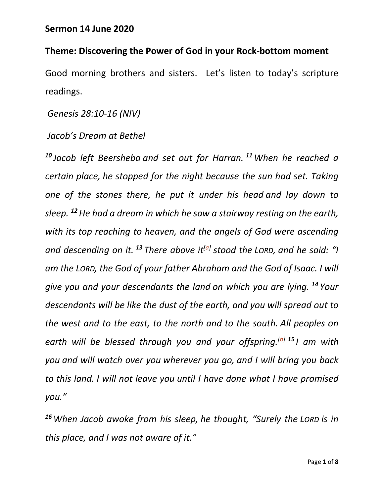## **Sermon 14 June 2020**

## **Theme: Discovering the Power of God in your Rock-bottom moment**

Good morning brothers and sisters. Let's listen to today's scripture readings.

*Genesis 28:10-16 (NIV)*

## *Jacob's Dream at Bethel*

*<sup>10</sup> Jacob left Beersheba and set out for Harran. <sup>11</sup>When he reached a certain place, he stopped for the night because the sun had set. Taking one of the stones there, he put it under his head and lay down to sleep. <sup>12</sup>He had a dream in which he saw a stairway resting on the earth, with its top reaching to heaven, and the angels of God were ascending and descending on it. <sup>13</sup> There above it[a] stood the LORD, and he said: "I am the LORD, the God of your father Abraham and the God of Isaac. I will give you and your descendants the land on which you are lying. <sup>14</sup> Your descendants will be like the dust of the earth, and you will spread out to the west and to the east, to the north and to the south. All peoples on earth will be blessed through you and your offspring.[b] <sup>15</sup> I am with you and will watch over you wherever you go, and I will bring you back to this land. I will not leave you until I have done what I have promised you."*

*<sup>16</sup>When Jacob awoke from his sleep, he thought, "Surely the LORD is in this place, and I was not aware of it."*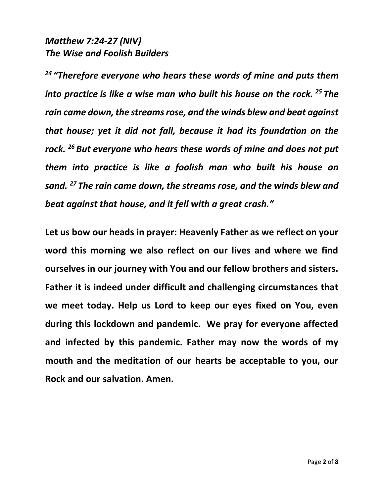## *Matthew 7:24-27 (NIV) The Wise and Foolish Builders*

*<sup>24</sup> "Therefore everyone who hears these words of mine and puts them into practice is like a wise man who built his house on the rock. <sup>25</sup> The rain came down, the streams rose, and the winds blew and beat against that house; yet it did not fall, because it had its foundation on the rock. <sup>26</sup> But everyone who hears these words of mine and does not put them into practice is like a foolish man who built his house on sand. <sup>27</sup> The rain came down, the streams rose, and the winds blew and beat against that house, and it fell with a great crash."*

**Let us bow our heads in prayer: Heavenly Father as we reflect on your word this morning we also reflect on our lives and where we find ourselves in our journey with You and our fellow brothers and sisters. Father it is indeed under difficult and challenging circumstances that we meet today. Help us Lord to keep our eyes fixed on You, even during this lockdown and pandemic. We pray for everyone affected and infected by this pandemic. Father may now the words of my mouth and the meditation of our hearts be acceptable to you, our Rock and our salvation. Amen.**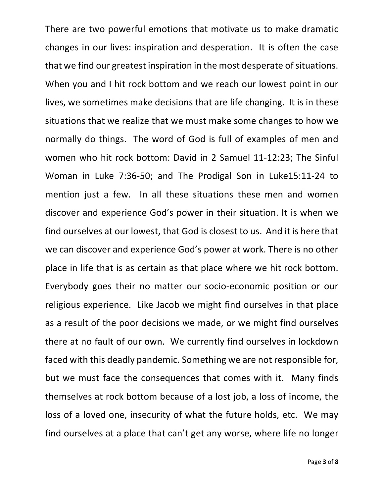There are two powerful emotions that motivate us to make dramatic changes in our lives: inspiration and desperation. It is often the case that we find our greatest inspiration in the most desperate of situations. When you and I hit rock bottom and we reach our lowest point in our lives, we sometimes make decisions that are life changing. It is in these situations that we realize that we must make some changes to how we normally do things. The word of God is full of examples of men and women who hit rock bottom: David in 2 Samuel 11-12:23; The Sinful Woman in Luke 7:36-50; and The Prodigal Son in Luke15:11-24 to mention just a few. In all these situations these men and women discover and experience God's power in their situation. It is when we find ourselves at our lowest, that God is closest to us. And it is here that we can discover and experience God's power at work. There is no other place in life that is as certain as that place where we hit rock bottom. Everybody goes their no matter our socio-economic position or our religious experience. Like Jacob we might find ourselves in that place as a result of the poor decisions we made, or we might find ourselves there at no fault of our own. We currently find ourselves in lockdown faced with this deadly pandemic. Something we are not responsible for, but we must face the consequences that comes with it. Many finds themselves at rock bottom because of a lost job, a loss of income, the loss of a loved one, insecurity of what the future holds, etc. We may find ourselves at a place that can't get any worse, where life no longer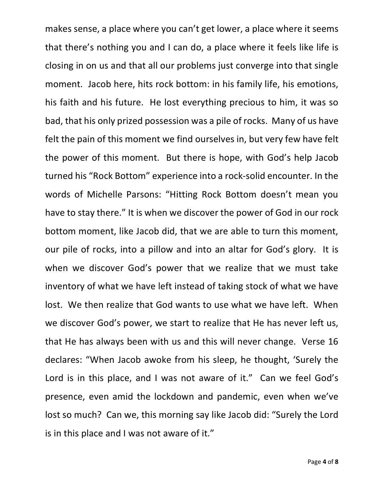makes sense, a place where you can't get lower, a place where it seems that there's nothing you and I can do, a place where it feels like life is closing in on us and that all our problems just converge into that single moment. Jacob here, hits rock bottom: in his family life, his emotions, his faith and his future. He lost everything precious to him, it was so bad, that his only prized possession was a pile of rocks. Many of us have felt the pain of this moment we find ourselves in, but very few have felt the power of this moment. But there is hope, with God's help Jacob turned his "Rock Bottom" experience into a rock-solid encounter. In the words of Michelle Parsons: "Hitting Rock Bottom doesn't mean you have to stay there." It is when we discover the power of God in our rock bottom moment, like Jacob did, that we are able to turn this moment, our pile of rocks, into a pillow and into an altar for God's glory. It is when we discover God's power that we realize that we must take inventory of what we have left instead of taking stock of what we have lost. We then realize that God wants to use what we have left. When we discover God's power, we start to realize that He has never left us, that He has always been with us and this will never change. Verse 16 declares: "When Jacob awoke from his sleep, he thought, 'Surely the Lord is in this place, and I was not aware of it." Can we feel God's presence, even amid the lockdown and pandemic, even when we've lost so much? Can we, this morning say like Jacob did: "Surely the Lord is in this place and I was not aware of it."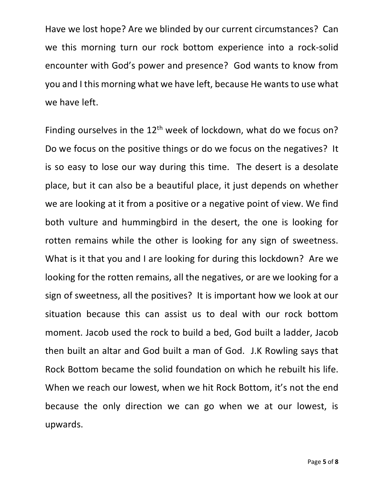Have we lost hope? Are we blinded by our current circumstances? Can we this morning turn our rock bottom experience into a rock-solid encounter with God's power and presence? God wants to know from you and I this morning what we have left, because He wants to use what we have left.

Finding ourselves in the  $12<sup>th</sup>$  week of lockdown, what do we focus on? Do we focus on the positive things or do we focus on the negatives? It is so easy to lose our way during this time. The desert is a desolate place, but it can also be a beautiful place, it just depends on whether we are looking at it from a positive or a negative point of view. We find both vulture and hummingbird in the desert, the one is looking for rotten remains while the other is looking for any sign of sweetness. What is it that you and I are looking for during this lockdown? Are we looking for the rotten remains, all the negatives, or are we looking for a sign of sweetness, all the positives? It is important how we look at our situation because this can assist us to deal with our rock bottom moment. Jacob used the rock to build a bed, God built a ladder, Jacob then built an altar and God built a man of God. J.K Rowling says that Rock Bottom became the solid foundation on which he rebuilt his life. When we reach our lowest, when we hit Rock Bottom, it's not the end because the only direction we can go when we at our lowest, is upwards.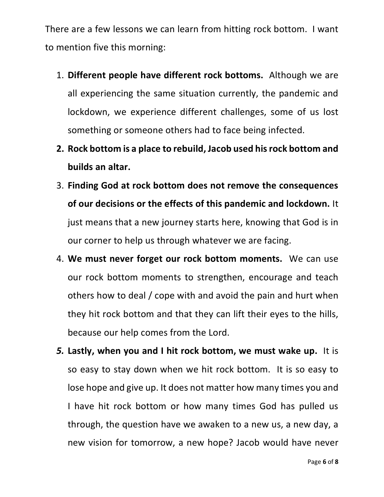There are a few lessons we can learn from hitting rock bottom. I want to mention five this morning:

- 1. **Different people have different rock bottoms.** Although we are all experiencing the same situation currently, the pandemic and lockdown, we experience different challenges, some of us lost something or someone others had to face being infected.
- **2. Rock bottom is a place to rebuild, Jacob used his rock bottom and builds an altar.**
- 3. **Finding God at rock bottom does not remove the consequences of our decisions or the effects of this pandemic and lockdown.** It just means that a new journey starts here, knowing that God is in our corner to help us through whatever we are facing.
- 4. **We must never forget our rock bottom moments.** We can use our rock bottom moments to strengthen, encourage and teach others how to deal / cope with and avoid the pain and hurt when they hit rock bottom and that they can lift their eyes to the hills, because our help comes from the Lord.
- *5.* **Lastly, when you and I hit rock bottom, we must wake up.** It is so easy to stay down when we hit rock bottom. It is so easy to lose hope and give up. It does not matter how many times you and I have hit rock bottom or how many times God has pulled us through, the question have we awaken to a new us, a new day, a new vision for tomorrow, a new hope? Jacob would have never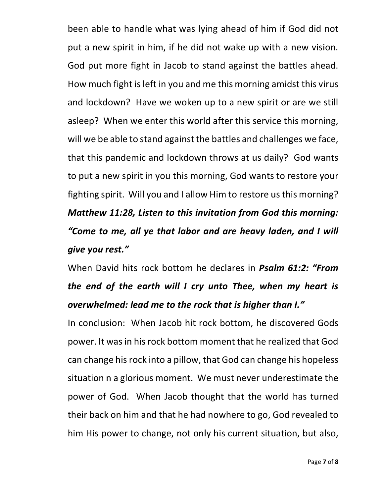been able to handle what was lying ahead of him if God did not put a new spirit in him, if he did not wake up with a new vision. God put more fight in Jacob to stand against the battles ahead. How much fight is left in you and me this morning amidst this virus and lockdown? Have we woken up to a new spirit or are we still asleep? When we enter this world after this service this morning, will we be able to stand against the battles and challenges we face, that this pandemic and lockdown throws at us daily? God wants to put a new spirit in you this morning, God wants to restore your fighting spirit. Will you and I allow Him to restore us this morning? *Matthew 11:28, Listen to this invitation from God this morning: "Come to me, all ye that labor and are heavy laden, and I will give you rest."*

When David hits rock bottom he declares in *Psalm 61:2: "From the end of the earth will I cry unto Thee, when my heart is overwhelmed: lead me to the rock that is higher than I."*

In conclusion: When Jacob hit rock bottom, he discovered Gods power. It was in his rock bottom moment that he realized that God can change his rock into a pillow, that God can change his hopeless situation n a glorious moment. We must never underestimate the power of God. When Jacob thought that the world has turned their back on him and that he had nowhere to go, God revealed to him His power to change, not only his current situation, but also,